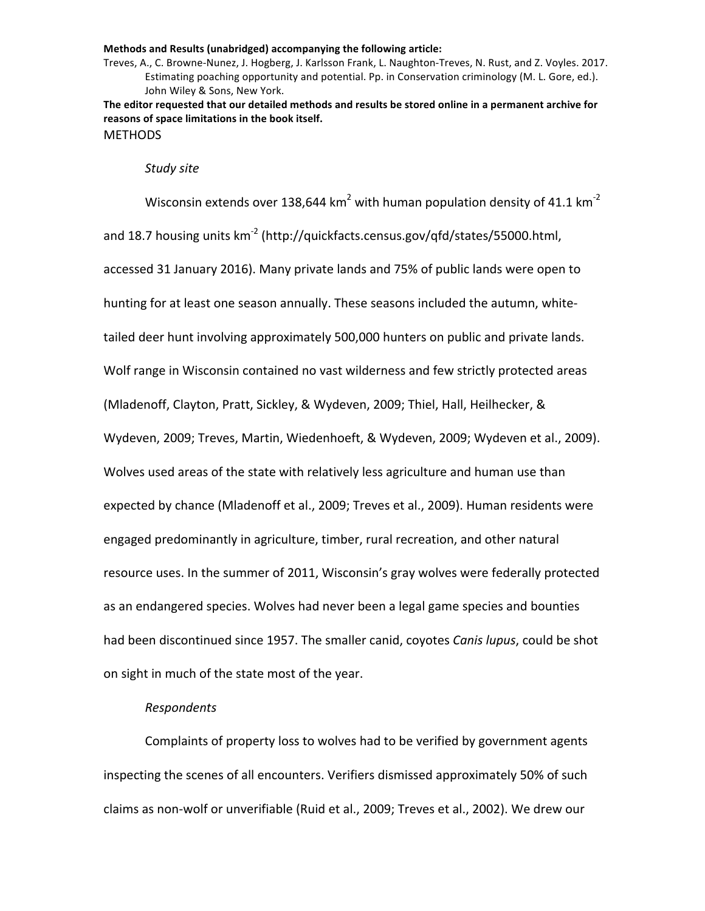Treves, A., C. Browne-Nunez, J. Hogberg, J. Karlsson Frank, L. Naughton-Treves, N. Rust, and Z. Voyles. 2017. Estimating poaching opportunity and potential. Pp. in Conservation criminology (M. L. Gore, ed.). John Wiley & Sons, New York.

The editor requested that our detailed methods and results be stored online in a permanent archive for reasons of space limitations in the book itself. **METHODS** 

#### *Study site*

Wisconsin extends over 138,644 km<sup>2</sup> with human population density of 41.1 km<sup>-2</sup> and 18.7 housing units  $km^{-2}$  (http://quickfacts.census.gov/qfd/states/55000.html, accessed 31 January 2016). Many private lands and 75% of public lands were open to hunting for at least one season annually. These seasons included the autumn, whitetailed deer hunt involving approximately 500,000 hunters on public and private lands. Wolf range in Wisconsin contained no vast wilderness and few strictly protected areas (Mladenoff, Clayton, Pratt, Sickley, & Wydeven, 2009; Thiel, Hall, Heilhecker, & Wydeven, 2009; Treves, Martin, Wiedenhoeft, & Wydeven, 2009; Wydeven et al., 2009). Wolves used areas of the state with relatively less agriculture and human use than expected by chance (Mladenoff et al., 2009; Treves et al., 2009). Human residents were engaged predominantly in agriculture, timber, rural recreation, and other natural resource uses. In the summer of 2011, Wisconsin's gray wolves were federally protected as an endangered species. Wolves had never been a legal game species and bounties had been discontinued since 1957. The smaller canid, coyotes *Canis lupus*, could be shot on sight in much of the state most of the year.

## *Respondents*

Complaints of property loss to wolves had to be verified by government agents inspecting the scenes of all encounters. Verifiers dismissed approximately 50% of such claims as non-wolf or unverifiable (Ruid et al., 2009; Treves et al., 2002). We drew our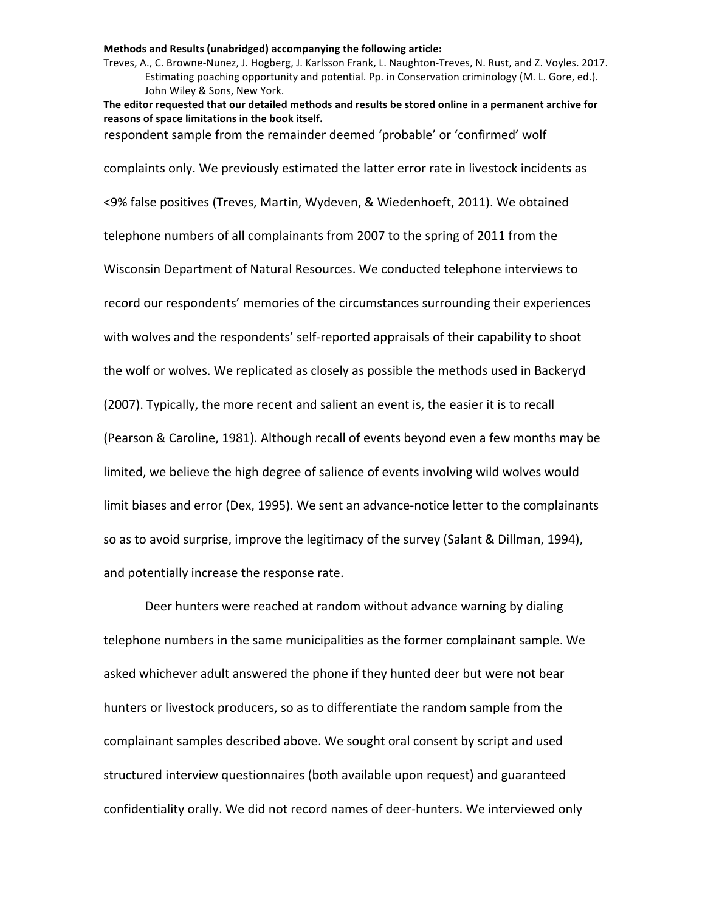Treves, A., C. Browne-Nunez, J. Hogberg, J. Karlsson Frank, L. Naughton-Treves, N. Rust, and Z. Voyles. 2017. Estimating poaching opportunity and potential. Pp. in Conservation criminology (M. L. Gore, ed.). John Wiley & Sons, New York.

The editor requested that our detailed methods and results be stored online in a permanent archive for reasons of space limitations in the book itself.

respondent sample from the remainder deemed 'probable' or 'confirmed' wolf

complaints only. We previously estimated the latter error rate in livestock incidents as <9% false positives (Treves, Martin, Wydeven, & Wiedenhoeft, 2011). We obtained telephone numbers of all complainants from 2007 to the spring of 2011 from the Wisconsin Department of Natural Resources. We conducted telephone interviews to record our respondents' memories of the circumstances surrounding their experiences with wolves and the respondents' self-reported appraisals of their capability to shoot the wolf or wolves. We replicated as closely as possible the methods used in Backeryd (2007). Typically, the more recent and salient an event is, the easier it is to recall (Pearson & Caroline, 1981). Although recall of events beyond even a few months may be limited, we believe the high degree of salience of events involving wild wolves would limit biases and error (Dex, 1995). We sent an advance-notice letter to the complainants so as to avoid surprise, improve the legitimacy of the survey (Salant & Dillman, 1994), and potentially increase the response rate.

Deer hunters were reached at random without advance warning by dialing telephone numbers in the same municipalities as the former complainant sample. We asked whichever adult answered the phone if they hunted deer but were not bear hunters or livestock producers, so as to differentiate the random sample from the complainant samples described above. We sought oral consent by script and used structured interview questionnaires (both available upon request) and guaranteed confidentiality orally. We did not record names of deer-hunters. We interviewed only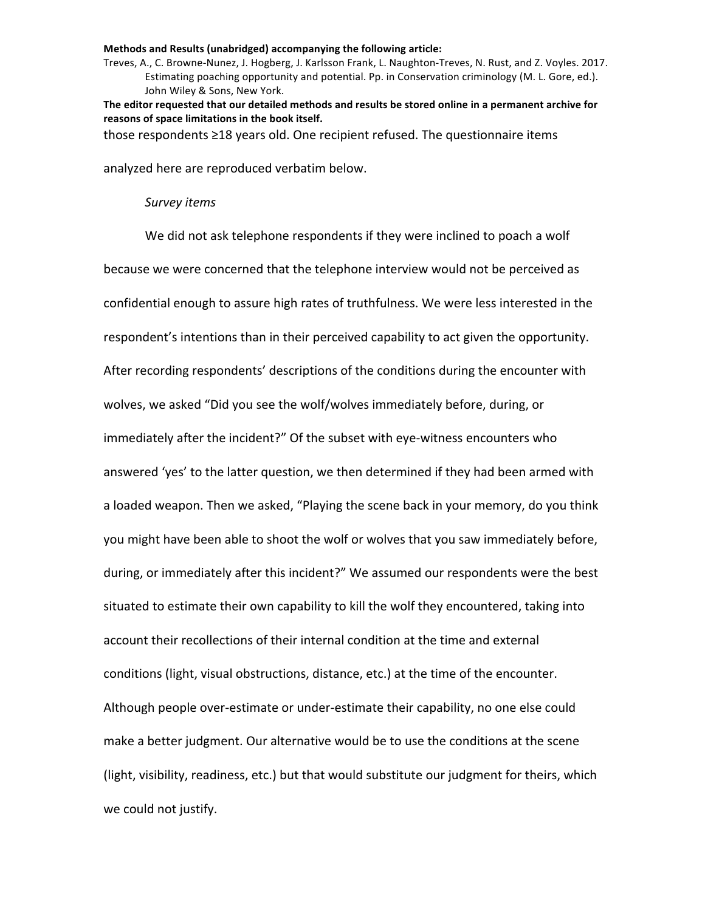Treves, A., C. Browne-Nunez, J. Hogberg, J. Karlsson Frank, L. Naughton-Treves, N. Rust, and Z. Voyles. 2017. Estimating poaching opportunity and potential. Pp. in Conservation criminology (M. L. Gore, ed.). John Wiley & Sons, New York.

The editor requested that our detailed methods and results be stored online in a permanent archive for reasons of space limitations in the book itself.

those respondents  $\geq$ 18 years old. One recipient refused. The questionnaire items

analyzed here are reproduced verbatim below.

## *Survey items*

We did not ask telephone respondents if they were inclined to poach a wolf because we were concerned that the telephone interview would not be perceived as confidential enough to assure high rates of truthfulness. We were less interested in the respondent's intentions than in their perceived capability to act given the opportunity. After recording respondents' descriptions of the conditions during the encounter with wolves, we asked "Did you see the wolf/wolves immediately before, during, or immediately after the incident?" Of the subset with eye-witness encounters who answered 'yes' to the latter question, we then determined if they had been armed with a loaded weapon. Then we asked, "Playing the scene back in your memory, do you think you might have been able to shoot the wolf or wolves that you saw immediately before, during, or immediately after this incident?" We assumed our respondents were the best situated to estimate their own capability to kill the wolf they encountered, taking into account their recollections of their internal condition at the time and external conditions (light, visual obstructions, distance, etc.) at the time of the encounter. Although people over-estimate or under-estimate their capability, no one else could make a better judgment. Our alternative would be to use the conditions at the scene (light, visibility, readiness, etc.) but that would substitute our judgment for theirs, which we could not justify.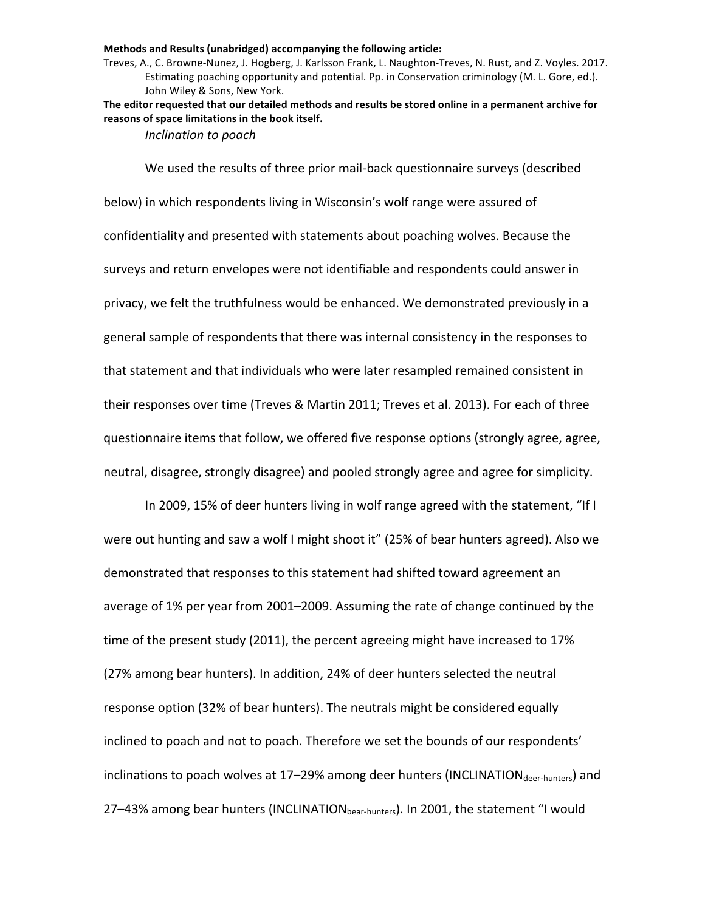Treves, A., C. Browne-Nunez, J. Hogberg, J. Karlsson Frank, L. Naughton-Treves, N. Rust, and Z. Voyles. 2017. Estimating poaching opportunity and potential. Pp. in Conservation criminology (M. L. Gore, ed.). John Wiley & Sons, New York.

The editor requested that our detailed methods and results be stored online in a permanent archive for reasons of space limitations in the book itself.

*Inclination to poach*

We used the results of three prior mail-back questionnaire surveys (described below) in which respondents living in Wisconsin's wolf range were assured of confidentiality and presented with statements about poaching wolves. Because the surveys and return envelopes were not identifiable and respondents could answer in privacy, we felt the truthfulness would be enhanced. We demonstrated previously in a general sample of respondents that there was internal consistency in the responses to that statement and that individuals who were later resampled remained consistent in their responses over time (Treves & Martin 2011; Treves et al. 2013). For each of three questionnaire items that follow, we offered five response options (strongly agree, agree, neutral, disagree, strongly disagree) and pooled strongly agree and agree for simplicity.

In 2009, 15% of deer hunters living in wolf range agreed with the statement, "If I were out hunting and saw a wolf I might shoot it" (25% of bear hunters agreed). Also we demonstrated that responses to this statement had shifted toward agreement an average of 1% per year from 2001–2009. Assuming the rate of change continued by the time of the present study (2011), the percent agreeing might have increased to 17% (27% among bear hunters). In addition, 24% of deer hunters selected the neutral response option (32% of bear hunters). The neutrals might be considered equally inclined to poach and not to poach. Therefore we set the bounds of our respondents' inclinations to poach wolves at 17-29% among deer hunters (INCLINATION<sub>deer-hunters</sub>) and 27-43% among bear hunters (INCLINATION<sub>bear-hunters</sub>). In 2001, the statement "I would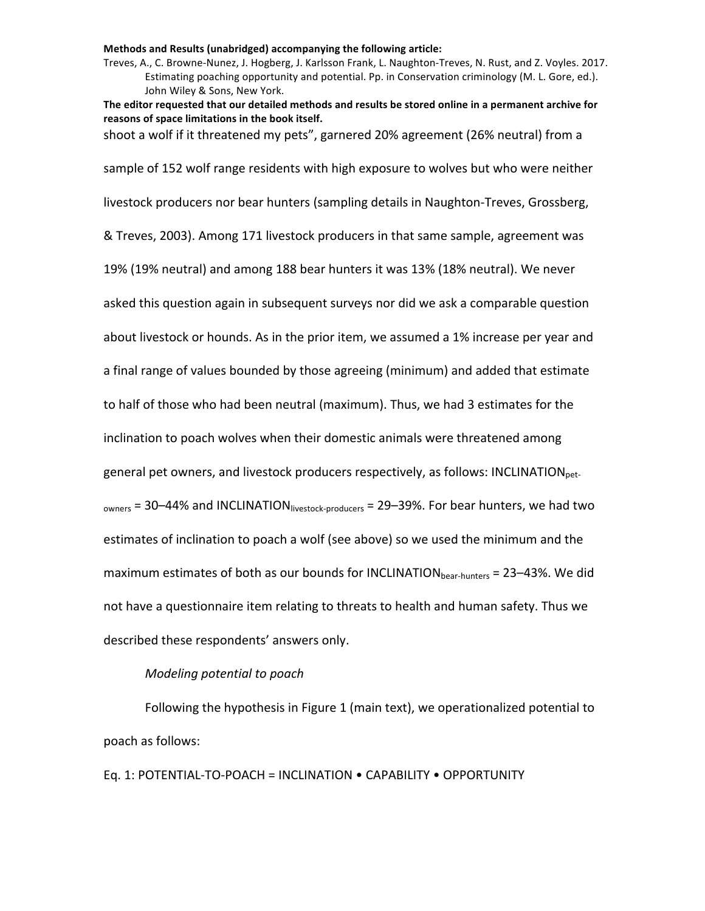Treves, A., C. Browne-Nunez, J. Hogberg, J. Karlsson Frank, L. Naughton-Treves, N. Rust, and Z. Voyles. 2017. Estimating poaching opportunity and potential. Pp. in Conservation criminology (M. L. Gore, ed.). John Wiley & Sons, New York.

The editor requested that our detailed methods and results be stored online in a permanent archive for reasons of space limitations in the book itself.

shoot a wolf if it threatened my pets", garnered 20% agreement (26% neutral) from a

sample of 152 wolf range residents with high exposure to wolves but who were neither livestock producers nor bear hunters (sampling details in Naughton-Treves, Grossberg, & Treves, 2003). Among 171 livestock producers in that same sample, agreement was 19% (19% neutral) and among 188 bear hunters it was 13% (18% neutral). We never asked this question again in subsequent surveys nor did we ask a comparable question about livestock or hounds. As in the prior item, we assumed a 1% increase per year and a final range of values bounded by those agreeing (minimum) and added that estimate to half of those who had been neutral (maximum). Thus, we had 3 estimates for the inclination to poach wolves when their domestic animals were threatened among general pet owners, and livestock producers respectively, as follows: INCLINATION<sub>pet-</sub>  $_{\text{owners}}$  = 30–44% and INCLINATION  $_{\text{livestock-producers}}$  = 29–39%. For bear hunters, we had two estimates of inclination to poach a wolf (see above) so we used the minimum and the maximum estimates of both as our bounds for INCLINATION<sub>bear-hunters</sub> = 23–43%. We did not have a questionnaire item relating to threats to health and human safety. Thus we described these respondents' answers only.

## *Modeling potential to poach*

Following the hypothesis in Figure 1 (main text), we operationalized potential to poach as follows:

Eq. 1: POTENTIAL-TO-POACH = INCLINATION . CAPABILITY . OPPORTUNITY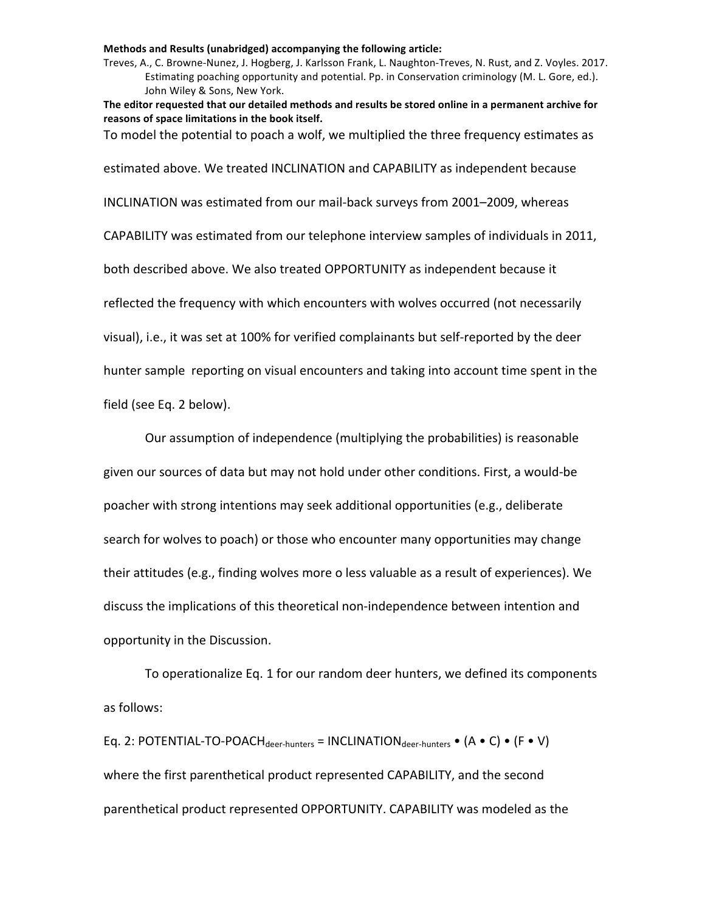Treves, A., C. Browne-Nunez, J. Hogberg, J. Karlsson Frank, L. Naughton-Treves, N. Rust, and Z. Voyles. 2017. Estimating poaching opportunity and potential. Pp. in Conservation criminology (M. L. Gore, ed.). John Wiley & Sons, New York.

The editor requested that our detailed methods and results be stored online in a permanent archive for reasons of space limitations in the book itself.

To model the potential to poach a wolf, we multiplied the three frequency estimates as

estimated above. We treated INCLINATION and CAPABILITY as independent because

INCLINATION was estimated from our mail-back surveys from 2001–2009, whereas

CAPABILITY was estimated from our telephone interview samples of individuals in 2011,

both described above. We also treated OPPORTUNITY as independent because it

reflected the frequency with which encounters with wolves occurred (not necessarily

visual), i.e., it was set at 100% for verified complainants but self-reported by the deer

hunter sample reporting on visual encounters and taking into account time spent in the

field (see Eq. 2 below).

Our assumption of independence (multiplying the probabilities) is reasonable

given our sources of data but may not hold under other conditions. First, a would-be

poacher with strong intentions may seek additional opportunities (e.g., deliberate

search for wolves to poach) or those who encounter many opportunities may change their attitudes (e.g., finding wolves more o less valuable as a result of experiences). We discuss the implications of this theoretical non-independence between intention and opportunity in the Discussion.

To operationalize Eq. 1 for our random deer hunters, we defined its components as follows:

Eq. 2: POTENTIAL-TO-POACH<sub>deer-hunters</sub> = INCLINATION<sub>deer-hunters</sub> •  $(A \cdot C) \cdot (F \cdot V)$ where the first parenthetical product represented CAPABILITY, and the second parenthetical product represented OPPORTUNITY. CAPABILITY was modeled as the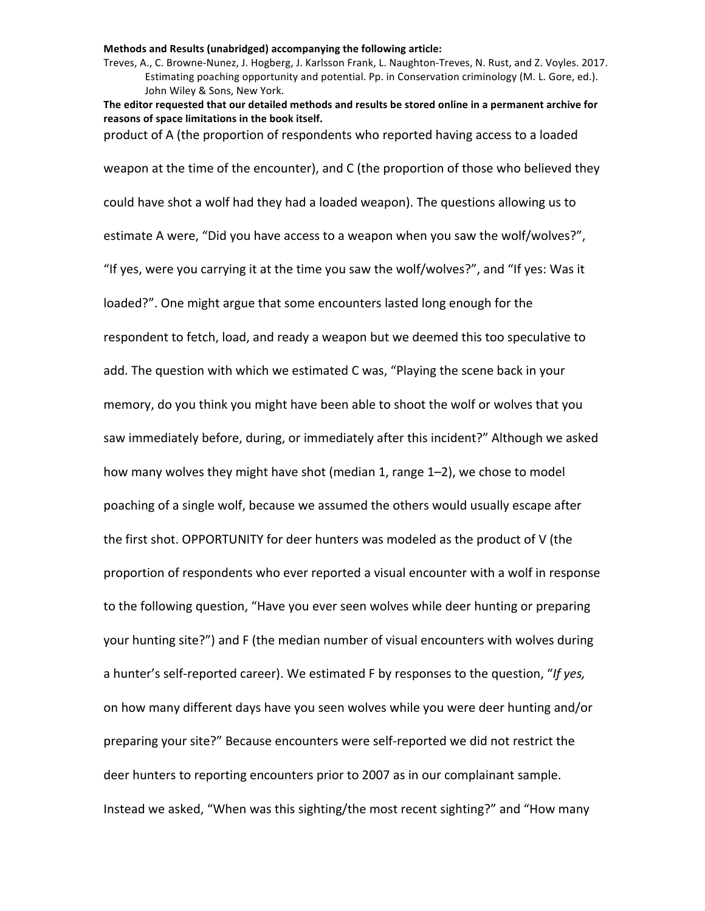Treves, A., C. Browne-Nunez, J. Hogberg, J. Karlsson Frank, L. Naughton-Treves, N. Rust, and Z. Voyles. 2017. Estimating poaching opportunity and potential. Pp. in Conservation criminology (M. L. Gore, ed.). John Wiley & Sons, New York.

The editor requested that our detailed methods and results be stored online in a permanent archive for reasons of space limitations in the book itself.

product of A (the proportion of respondents who reported having access to a loaded

weapon at the time of the encounter), and C (the proportion of those who believed they could have shot a wolf had they had a loaded weapon). The questions allowing us to estimate A were, "Did you have access to a weapon when you saw the wolf/wolves?", "If yes, were you carrying it at the time you saw the wolf/wolves?", and "If yes: Was it loaded?". One might argue that some encounters lasted long enough for the respondent to fetch, load, and ready a weapon but we deemed this too speculative to add. The question with which we estimated C was, "Playing the scene back in your memory, do you think you might have been able to shoot the wolf or wolves that you saw immediately before, during, or immediately after this incident?" Although we asked how many wolves they might have shot (median 1, range 1–2), we chose to model poaching of a single wolf, because we assumed the others would usually escape after the first shot. OPPORTUNITY for deer hunters was modeled as the product of V (the proportion of respondents who ever reported a visual encounter with a wolf in response to the following question, "Have you ever seen wolves while deer hunting or preparing your hunting site?") and F (the median number of visual encounters with wolves during a hunter's self-reported career). We estimated F by responses to the question, "If yes, on how many different days have you seen wolves while you were deer hunting and/or preparing your site?" Because encounters were self-reported we did not restrict the deer hunters to reporting encounters prior to 2007 as in our complainant sample. Instead we asked, "When was this sighting/the most recent sighting?" and "How many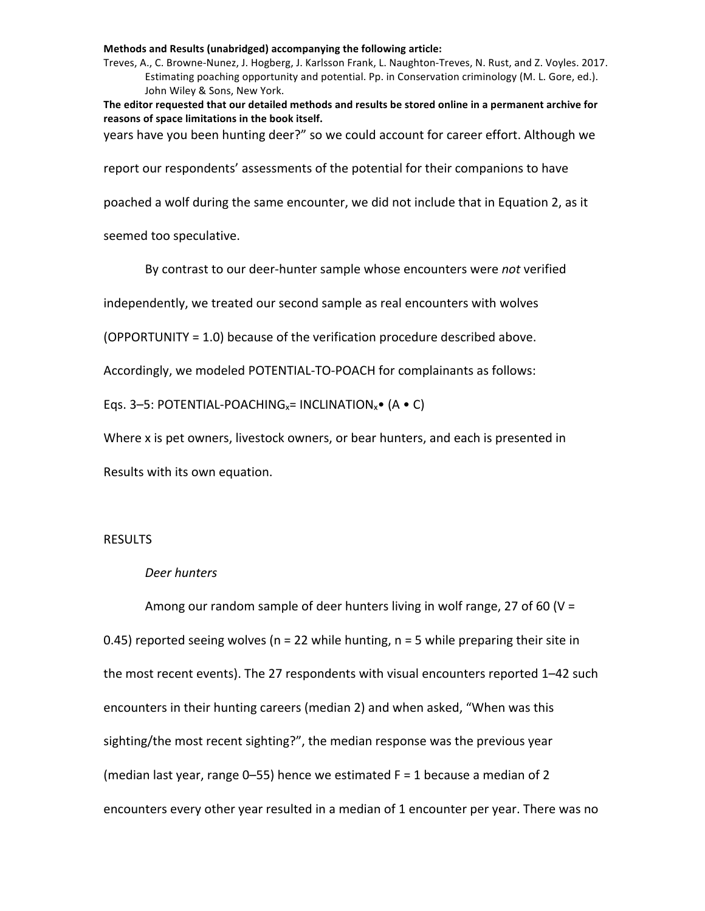Treves, A., C. Browne-Nunez, J. Hogberg, J. Karlsson Frank, L. Naughton-Treves, N. Rust, and Z. Voyles. 2017. Estimating poaching opportunity and potential. Pp. in Conservation criminology (M. L. Gore, ed.). John Wiley & Sons, New York.

The editor requested that our detailed methods and results be stored online in a permanent archive for reasons of space limitations in the book itself.

years have you been hunting deer?" so we could account for career effort. Although we

report our respondents' assessments of the potential for their companions to have

poached a wolf during the same encounter, we did not include that in Equation 2, as it

seemed too speculative.

By contrast to our deer-hunter sample whose encounters were *not* verified

independently, we treated our second sample as real encounters with wolves

(OPPORTUNITY =  $1.0$ ) because of the verification procedure described above.

Accordingly, we modeled POTENTIAL-TO-POACH for complainants as follows:

Eqs. 3–5: POTENTIAL-POACHING<sub>x</sub>= INCLINATION<sub>x</sub>• (A • C)

Where x is pet owners, livestock owners, or bear hunters, and each is presented in

Results with its own equation.

# RESULTS

## *Deer hunters*

Among our random sample of deer hunters living in wolf range, 27 of 60 (V = 0.45) reported seeing wolves (n = 22 while hunting, n = 5 while preparing their site in the most recent events). The 27 respondents with visual encounters reported  $1-42$  such encounters in their hunting careers (median 2) and when asked, "When was this sighting/the most recent sighting?", the median response was the previous year (median last year, range 0–55) hence we estimated  $F = 1$  because a median of 2 encounters every other year resulted in a median of 1 encounter per year. There was no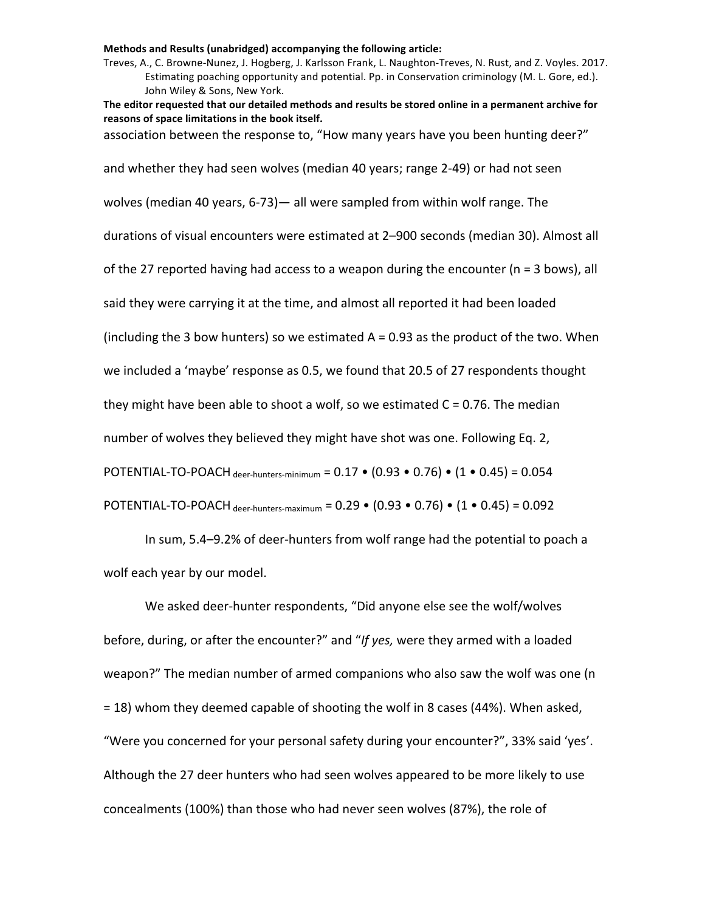Treves, A., C. Browne-Nunez, J. Hogberg, J. Karlsson Frank, L. Naughton-Treves, N. Rust, and Z. Voyles. 2017. Estimating poaching opportunity and potential. Pp. in Conservation criminology (M. L. Gore, ed.). John Wiley & Sons, New York.

The editor requested that our detailed methods and results be stored online in a permanent archive for reasons of space limitations in the book itself. association between the response to, "How many years have you been hunting deer?" and whether they had seen wolves (median 40 years; range 2-49) or had not seen wolves (median 40 years, 6-73)— all were sampled from within wolf range. The durations of visual encounters were estimated at 2-900 seconds (median 30). Almost all of the 27 reported having had access to a weapon during the encounter ( $n = 3$  bows), all said they were carrying it at the time, and almost all reported it had been loaded

(including the 3 bow hunters) so we estimated  $A = 0.93$  as the product of the two. When

we included a 'maybe' response as 0.5, we found that 20.5 of 27 respondents thought

they might have been able to shoot a wolf, so we estimated  $C = 0.76$ . The median

number of wolves they believed they might have shot was one. Following Eq. 2,

POTENTIAL-TO-POACH deer-hunters-minimum =  $0.17 \cdot (0.93 \cdot 0.76) \cdot (1 \cdot 0.45) = 0.054$ 

POTENTIAL-TO-POACH deer-hunters-maximum =  $0.29 \cdot (0.93 \cdot 0.76) \cdot (1 \cdot 0.45) = 0.092$ 

In sum, 5.4–9.2% of deer-hunters from wolf range had the potential to poach a wolf each year by our model.

We asked deer-hunter respondents, "Did anyone else see the wolf/wolves before, during, or after the encounter?" and "If yes, were they armed with a loaded weapon?" The median number of armed companions who also saw the wolf was one (n = 18) whom they deemed capable of shooting the wolf in 8 cases (44%). When asked, "Were you concerned for your personal safety during your encounter?", 33% said 'yes'. Although the 27 deer hunters who had seen wolves appeared to be more likely to use concealments (100%) than those who had never seen wolves (87%), the role of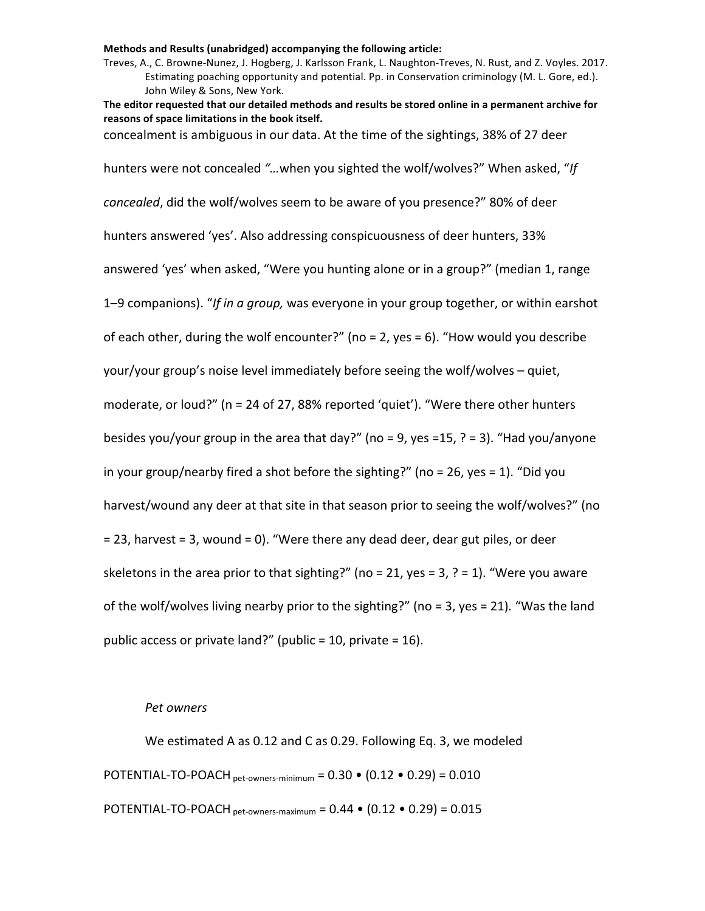Treves, A., C. Browne-Nunez, J. Hogberg, J. Karlsson Frank, L. Naughton-Treves, N. Rust, and Z. Voyles. 2017. Estimating poaching opportunity and potential. Pp. in Conservation criminology (M. L. Gore, ed.). John Wiley & Sons, New York.

The editor requested that our detailed methods and results be stored online in a permanent archive for reasons of space limitations in the book itself. concealment is ambiguous in our data. At the time of the sightings, 38% of 27 deer hunters were not concealed "...when you sighted the wolf/wolves?" When asked, "If *concealed*, did the wolf/wolves seem to be aware of you presence?" 80% of deer hunters answered 'yes'. Also addressing conspicuousness of deer hunters, 33% answered 'yes' when asked, "Were you hunting alone or in a group?" (median 1, range 1-9 companions). "If in a group, was everyone in your group together, or within earshot of each other, during the wolf encounter?" (no = 2, yes = 6). "How would you describe your/your group's noise level immediately before seeing the wolf/wolves - quiet, moderate, or loud?" ( $n = 24$  of 27, 88% reported 'quiet'). "Were there other hunters besides you/your group in the area that day?" (no = 9, yes =15, ? = 3). "Had you/anyone in your group/nearby fired a shot before the sighting?" (no = 26, yes = 1). "Did you harvest/wound any deer at that site in that season prior to seeing the wolf/wolves?" (no = 23, harvest = 3, wound = 0). "Were there any dead deer, dear gut piles, or deer skeletons in the area prior to that sighting?" (no = 21, yes = 3, ? = 1). "Were you aware

of the wolf/wolves living nearby prior to the sighting?" (no = 3, yes = 21). "Was the land public access or private land?" (public =  $10$ , private =  $16$ ).

### *Pet owners*

We estimated A as 0.12 and C as 0.29. Following Eq. 3, we modeled POTENTIAL-TO-POACH pet-owners-minimum =  $0.30 \cdot (0.12 \cdot 0.29) = 0.010$ POTENTIAL-TO-POACH pet-owners-maximum =  $0.44 \cdot (0.12 \cdot 0.29) = 0.015$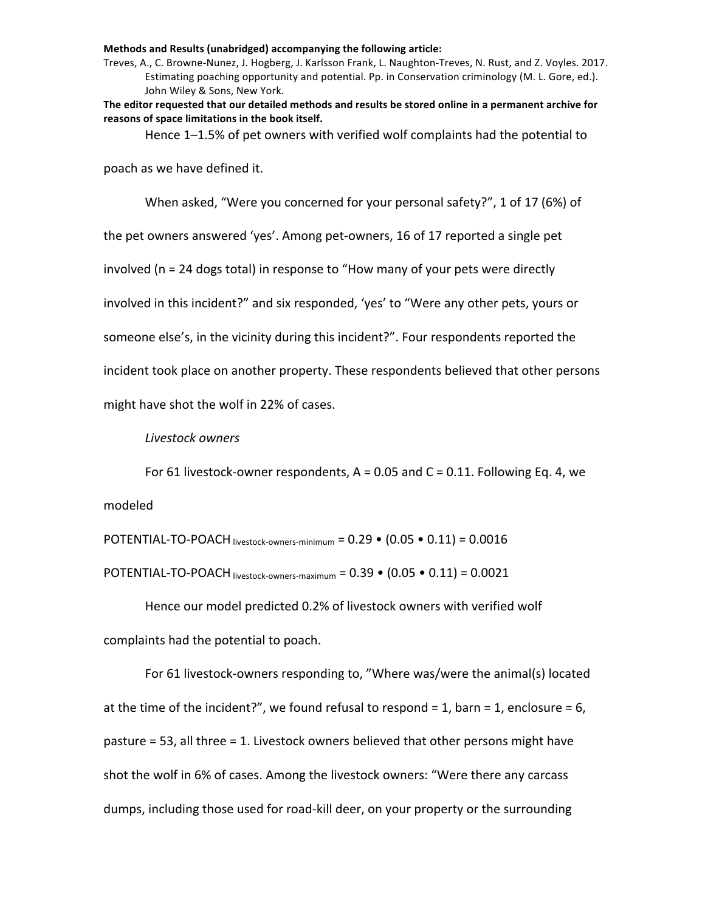Treves, A., C. Browne-Nunez, J. Hogberg, J. Karlsson Frank, L. Naughton-Treves, N. Rust, and Z. Voyles. 2017. Estimating poaching opportunity and potential. Pp. in Conservation criminology (M. L. Gore, ed.). John Wiley & Sons, New York.

The editor requested that our detailed methods and results be stored online in a permanent archive for reasons of space limitations in the book itself.

Hence  $1-1.5%$  of pet owners with verified wolf complaints had the potential to

poach as we have defined it.

When asked, "Were you concerned for your personal safety?", 1 of 17 (6%) of

the pet owners answered 'yes'. Among pet-owners, 16 of 17 reported a single pet

involved  $(n = 24$  dogs total) in response to "How many of your pets were directly

involved in this incident?" and six responded, 'yes' to "Were any other pets, yours or

someone else's, in the vicinity during this incident?". Four respondents reported the

incident took place on another property. These respondents believed that other persons

might have shot the wolf in 22% of cases.

*Livestock owners*

For 61 livestock-owner respondents,  $A = 0.05$  and  $C = 0.11$ . Following Eq. 4, we modeled

POTENTIAL-TO-POACH livestock-owners-minimum =  $0.29 \cdot (0.05 \cdot 0.11) = 0.0016$ POTENTIAL-TO-POACH livestock-owners-maximum =  $0.39 \cdot (0.05 \cdot 0.11) = 0.0021$ 

Hence our model predicted 0.2% of livestock owners with verified wolf complaints had the potential to poach.

For 61 livestock-owners responding to, "Where was/were the animal(s) located at the time of the incident?", we found refusal to respond = 1, barn = 1, enclosure =  $6$ , pasture = 53, all three = 1. Livestock owners believed that other persons might have shot the wolf in 6% of cases. Among the livestock owners: "Were there any carcass dumps, including those used for road-kill deer, on your property or the surrounding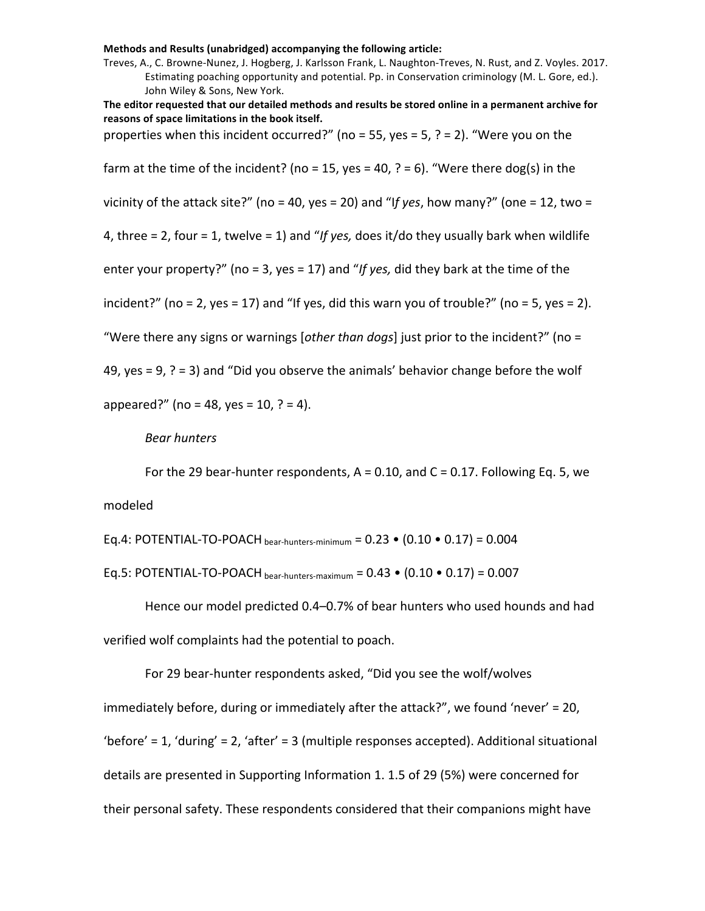Treves, A., C. Browne-Nunez, J. Hogberg, J. Karlsson Frank, L. Naughton-Treves, N. Rust, and Z. Voyles. 2017. Estimating poaching opportunity and potential. Pp. in Conservation criminology (M. L. Gore, ed.). John Wiley & Sons, New York.

The editor requested that our detailed methods and results be stored online in a permanent archive for reasons of space limitations in the book itself. properties when this incident occurred?" (no = 55, yes = 5, ? = 2). "Were you on the

farm at the time of the incident? (no = 15, yes = 40, ? = 6). "Were there dog(s) in the vicinity of the attack site?" (no = 40, yes = 20) and "If yes, how many?" (one = 12, two = 4, three  $= 2$ , four  $= 1$ , twelve  $= 1$ ) and "If yes, does it/do they usually bark when wildlife enter your property?" (no = 3, yes = 17) and "If yes, did they bark at the time of the

incident?" (no = 2, yes = 17) and "If yes, did this warn you of trouble?" (no = 5, yes = 2).

"Were there any signs or warnings [other than dogs] just prior to the incident?" (no =

49, yes = 9,  $?$  = 3) and "Did you observe the animals' behavior change before the wolf

appeared?" (no = 48, yes = 10, ? = 4).

## *Bear hunters*

For the 29 bear-hunter respondents,  $A = 0.10$ , and  $C = 0.17$ . Following Eq. 5, we modeled

Eq.4: POTENTIAL-TO-POACH bear-hunters-minimum =  $0.23 \cdot (0.10 \cdot 0.17) = 0.004$ 

Eq.5: POTENTIAL-TO-POACH bear-hunters-maximum =  $0.43 \cdot (0.10 \cdot 0.17) = 0.007$ 

Hence our model predicted 0.4-0.7% of bear hunters who used hounds and had verified wolf complaints had the potential to poach.

For 29 bear-hunter respondents asked, "Did you see the wolf/wolves immediately before, during or immediately after the attack?", we found 'never' = 20, 'before' = 1, 'during' = 2, 'after' = 3 (multiple responses accepted). Additional situational details are presented in Supporting Information 1. 1.5 of 29 (5%) were concerned for their personal safety. These respondents considered that their companions might have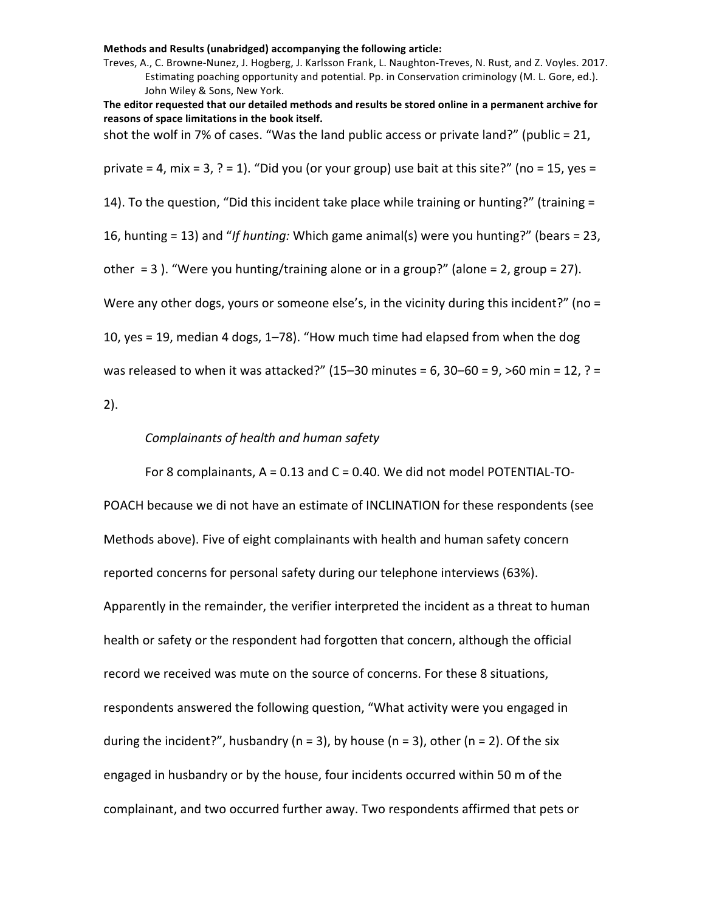Treves, A., C. Browne-Nunez, J. Hogberg, J. Karlsson Frank, L. Naughton-Treves, N. Rust, and Z. Voyles. 2017. Estimating poaching opportunity and potential. Pp. in Conservation criminology (M. L. Gore, ed.). John Wiley & Sons, New York.

The editor requested that our detailed methods and results be stored online in a permanent archive for reasons of space limitations in the book itself.

shot the wolf in 7% of cases. "Was the land public access or private land?" (public = 21,

private = 4, mix = 3, ? = 1). "Did you (or your group) use bait at this site?" (no = 15, yes =

14). To the question, "Did this incident take place while training or hunting?" (training =

16, hunting = 13) and "*If hunting:* Which game animal(s) were you hunting?" (bears = 23,

other  $= 3$ ). "Were you hunting/training alone or in a group?" (alone  $= 2$ , group  $= 27$ ).

Were any other dogs, yours or someone else's, in the vicinity during this incident?" (no =

10, yes = 19, median 4 dogs, 1–78). "How much time had elapsed from when the dog

was released to when it was attacked?"  $(15-30 \text{ minutes} = 6, 30-60 = 9, \text{ $>60 \text{ min} = 12, ? =$ 

2).

# *Complainants of health and human safety*

For 8 complainants,  $A = 0.13$  and  $C = 0.40$ . We did not model POTENTIAL-TO-

POACH because we di not have an estimate of INCLINATION for these respondents (see Methods above). Five of eight complainants with health and human safety concern reported concerns for personal safety during our telephone interviews (63%). Apparently in the remainder, the verifier interpreted the incident as a threat to human health or safety or the respondent had forgotten that concern, although the official record we received was mute on the source of concerns. For these 8 situations, respondents answered the following question, "What activity were you engaged in during the incident?", husbandry (n = 3), by house (n = 3), other (n = 2). Of the six engaged in husbandry or by the house, four incidents occurred within 50 m of the complainant, and two occurred further away. Two respondents affirmed that pets or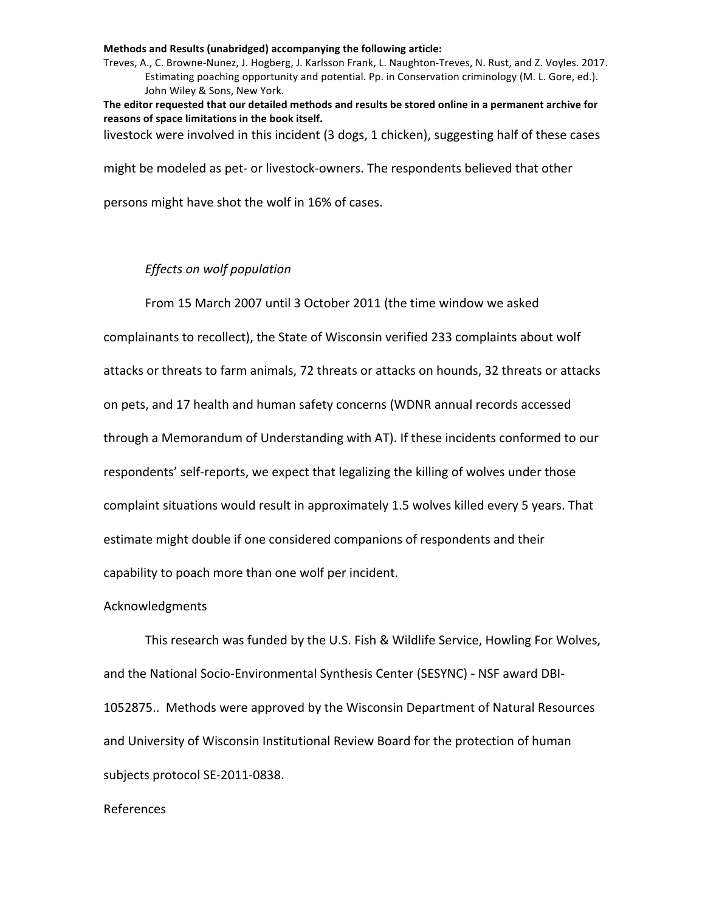Treves, A., C. Browne-Nunez, J. Hogberg, J. Karlsson Frank, L. Naughton-Treves, N. Rust, and Z. Voyles. 2017. Estimating poaching opportunity and potential. Pp. in Conservation criminology (M. L. Gore, ed.). John Wiley & Sons, New York.

The editor requested that our detailed methods and results be stored online in a permanent archive for reasons of space limitations in the book itself.

livestock were involved in this incident (3 dogs, 1 chicken), suggesting half of these cases

might be modeled as pet- or livestock-owners. The respondents believed that other

persons might have shot the wolf in 16% of cases.

# *Effects* on wolf population

From 15 March 2007 until 3 October 2011 (the time window we asked

complainants to recollect), the State of Wisconsin verified 233 complaints about wolf attacks or threats to farm animals, 72 threats or attacks on hounds, 32 threats or attacks on pets, and 17 health and human safety concerns (WDNR annual records accessed through a Memorandum of Understanding with AT). If these incidents conformed to our respondents' self-reports, we expect that legalizing the killing of wolves under those complaint situations would result in approximately 1.5 wolves killed every 5 years. That estimate might double if one considered companions of respondents and their capability to poach more than one wolf per incident.

## Acknowledgments

This research was funded by the U.S. Fish & Wildlife Service, Howling For Wolves, and the National Socio-Environmental Synthesis Center (SESYNC) - NSF award DBI-1052875.. Methods were approved by the Wisconsin Department of Natural Resources and University of Wisconsin Institutional Review Board for the protection of human subjects protocol SE-2011-0838.

# References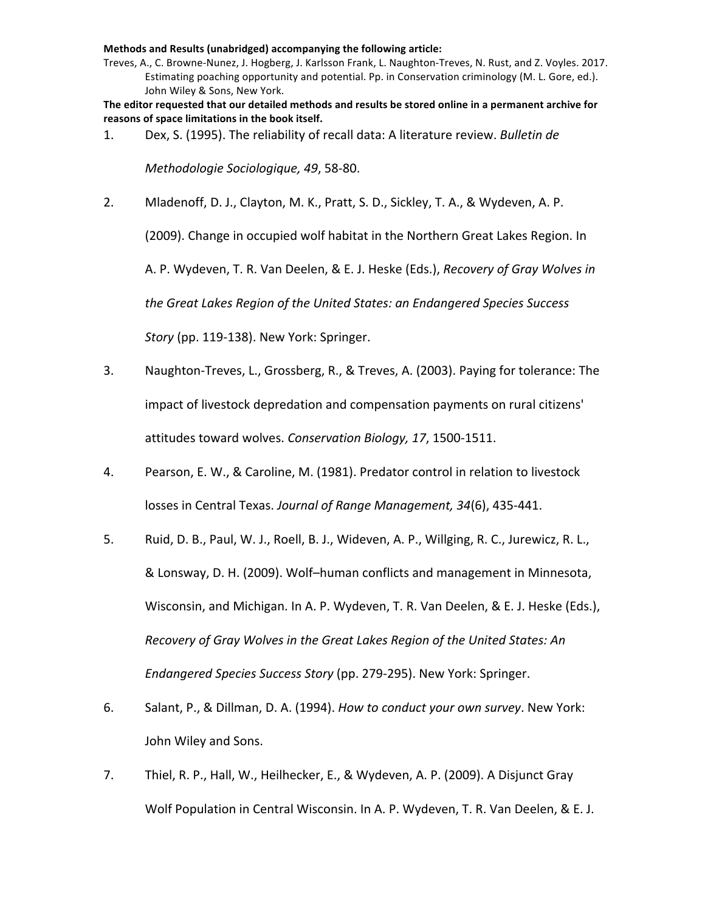Treves, A., C. Browne-Nunez, J. Hogberg, J. Karlsson Frank, L. Naughton-Treves, N. Rust, and Z. Voyles. 2017. Estimating poaching opportunity and potential. Pp. in Conservation criminology (M. L. Gore, ed.). John Wiley & Sons, New York.

The editor requested that our detailed methods and results be stored online in a permanent archive for reasons of space limitations in the book itself.

1. Dex, S. (1995). The reliability of recall data: A literature review. *Bulletin de* 

*Methodologie Sociologique, 49*, 58-80. 

2. Mladenoff, D. J., Clayton, M. K., Pratt, S. D., Sickley, T. A., & Wydeven, A. P.

(2009). Change in occupied wolf habitat in the Northern Great Lakes Region. In

A. P. Wydeven, T. R. Van Deelen, & E. J. Heske (Eds.), *Recovery of Gray Wolves in* 

the Great Lakes Region of the United States: an Endangered Species Success

*Story* (pp. 119-138). New York: Springer.

- 3. Naughton-Treves, L., Grossberg, R., & Treves, A. (2003). Paying for tolerance: The impact of livestock depredation and compensation payments on rural citizens' attitudes toward wolves. *Conservation Biology*, 17, 1500-1511.
- 4. Pearson, E. W., & Caroline, M. (1981). Predator control in relation to livestock losses in Central Texas. Journal of Range Management, 34(6), 435-441.
- 5. Ruid, D. B., Paul, W. J., Roell, B. J., Wideven, A. P., Willging, R. C., Jurewicz, R. L., & Lonsway, D. H. (2009). Wolf–human conflicts and management in Minnesota, Wisconsin, and Michigan. In A. P. Wydeven, T. R. Van Deelen, & E. J. Heske (Eds.), *Recovery of Gray Wolves in the Great Lakes Region of the United States: An Endangered Species Success Story* (pp. 279-295). New York: Springer.
- 6. Salant, P., & Dillman, D. A. (1994). *How to conduct your own survey*. New York: John Wiley and Sons.
- 7. Thiel, R. P., Hall, W., Heilhecker, E., & Wydeven, A. P. (2009). A Disjunct Gray Wolf Population in Central Wisconsin. In A. P. Wydeven, T. R. Van Deelen, & E. J.